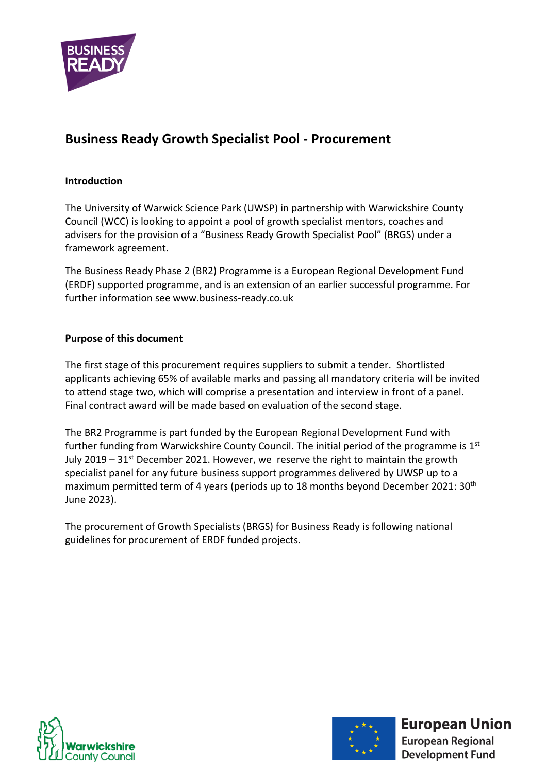

# **Business Ready Growth Specialist Pool - Procurement**

### <span id="page-0-0"></span>**Introduction**

The University of Warwick Science Park (UWSP) in partnership with Warwickshire County Council (WCC) is looking to appoint a pool of growth specialist mentors, coaches and advisers for the provision of a "Business Ready Growth Specialist Pool" (BRGS) under a framework agreement.

The Business Ready Phase 2 (BR2) Programme is a European Regional Development Fund (ERDF) supported programme, and is an extension of an earlier successful programme. For further information see [www.business-ready.co.uk](http://www.business-ready.co.uk/)

### <span id="page-0-1"></span>**Purpose of this document**

The first stage of this procurement requires suppliers to submit a tender. Shortlisted applicants achieving 65% of available marks and passing all mandatory criteria will be invited to attend stage two, which will comprise a presentation and interview in front of a panel. Final contract award will be made based on evaluation of the second stage.

The BR2 Programme is part funded by the European Regional Development Fund with further funding from Warwickshire County Council. The initial period of the programme is 1<sup>st</sup> July 2019 –  $31<sup>st</sup>$  December 2021. However, we reserve the right to maintain the growth specialist panel for any future business support programmes delivered by UWSP up to a maximum permitted term of 4 years (periods up to 18 months beyond December 2021: 30<sup>th</sup> June 2023).

The procurement of Growth Specialists (BRGS) for Business Ready is following national guidelines for procurement of ERDF funded projects.





**European Union**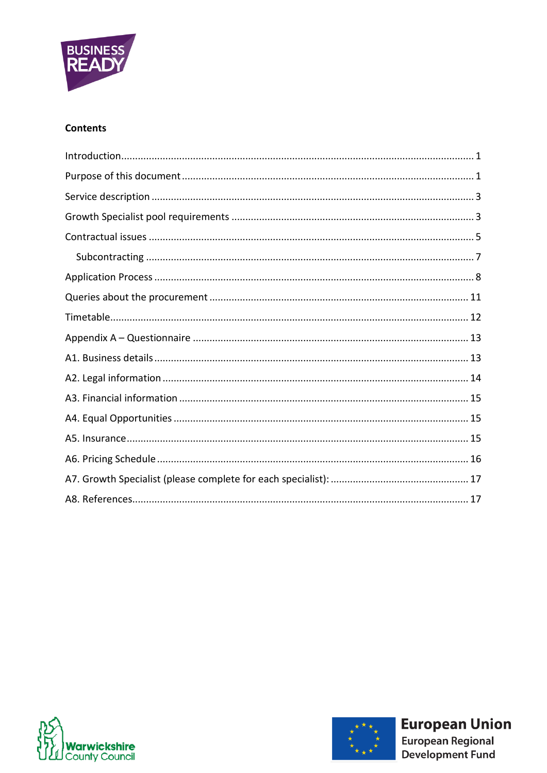

### **Contents**





**European Union**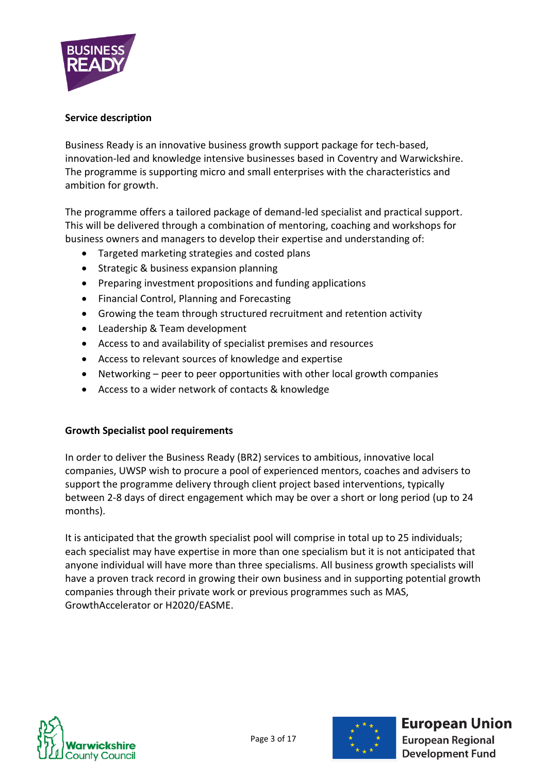

### <span id="page-2-0"></span>**Service description**

Business Ready is an innovative business growth support package for tech-based, innovation-led and knowledge intensive businesses based in Coventry and Warwickshire. The programme is supporting micro and small enterprises with the characteristics and ambition for growth.

The programme offers a tailored package of demand-led specialist and practical support. This will be delivered through a combination of mentoring, coaching and workshops for business owners and managers to develop their expertise and understanding of:

- Targeted marketing strategies and costed plans
- Strategic & business expansion planning
- Preparing investment propositions and funding applications
- Financial Control, Planning and Forecasting
- Growing the team through structured recruitment and retention activity
- Leadership & Team development
- Access to and availability of specialist premises and resources
- Access to relevant sources of knowledge and expertise
- Networking peer to peer opportunities with other local growth companies
- Access to a wider network of contacts & knowledge

## <span id="page-2-1"></span>**Growth Specialist pool requirements**

In order to deliver the Business Ready (BR2) services to ambitious, innovative local companies, UWSP wish to procure a pool of experienced mentors, coaches and advisers to support the programme delivery through client project based interventions, typically between 2-8 days of direct engagement which may be over a short or long period (up to 24 months).

It is anticipated that the growth specialist pool will comprise in total up to 25 individuals; each specialist may have expertise in more than one specialism but it is not anticipated that anyone individual will have more than three specialisms. All business growth specialists will have a proven track record in growing their own business and in supporting potential growth companies through their private work or previous programmes such as MAS, GrowthAccelerator or H2020/EASME.





# **European Union**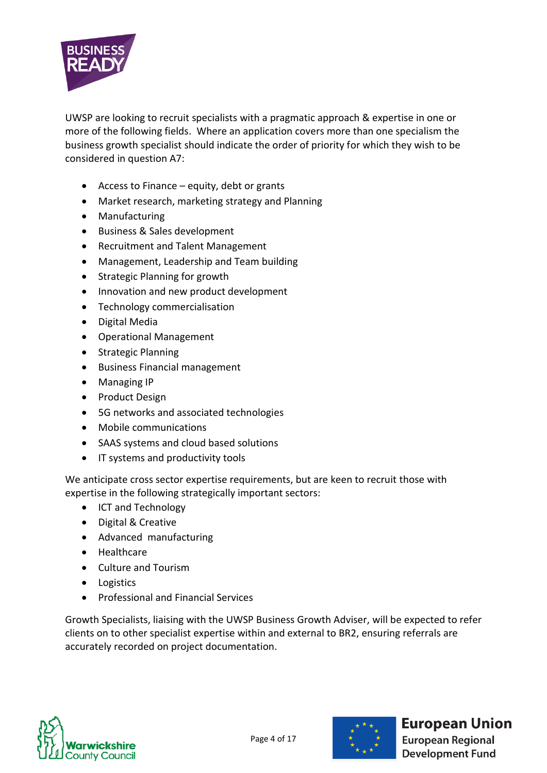

UWSP are looking to recruit specialists with a pragmatic approach & expertise in one or more of the following fields. Where an application covers more than one specialism the business growth specialist should indicate the order of priority for which they wish to be considered in question A7:

- Access to Finance equity, debt or grants
- Market research, marketing strategy and Planning
- Manufacturing
- Business & Sales development
- Recruitment and Talent Management
- Management, Leadership and Team building
- Strategic Planning for growth
- Innovation and new product development
- Technology commercialisation
- Digital Media
- Operational Management
- Strategic Planning
- Business Financial management
- Managing IP
- Product Design
- 5G networks and associated technologies
- Mobile communications
- SAAS systems and cloud based solutions
- IT systems and productivity tools

We anticipate cross sector expertise requirements, but are keen to recruit those with expertise in the following strategically important sectors:

- ICT and Technology
- Digital & Creative
- Advanced manufacturing
- Healthcare
- Culture and Tourism
- Logistics
- Professional and Financial Services

Growth Specialists, liaising with the UWSP Business Growth Adviser, will be expected to refer clients on to other specialist expertise within and external to BR2, ensuring referrals are accurately recorded on project documentation.





# **European Union**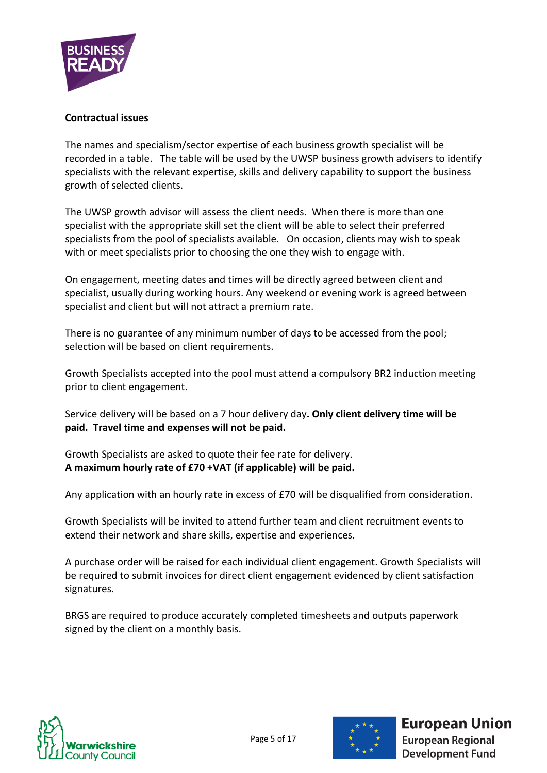

### <span id="page-4-0"></span>**Contractual issues**

The names and specialism/sector expertise of each business growth specialist will be recorded in a table. The table will be used by the UWSP business growth advisers to identify specialists with the relevant expertise, skills and delivery capability to support the business growth of selected clients.

The UWSP growth advisor will assess the client needs. When there is more than one specialist with the appropriate skill set the client will be able to select their preferred specialists from the pool of specialists available. On occasion, clients may wish to speak with or meet specialists prior to choosing the one they wish to engage with.

On engagement, meeting dates and times will be directly agreed between client and specialist, usually during working hours. Any weekend or evening work is agreed between specialist and client but will not attract a premium rate.

There is no guarantee of any minimum number of days to be accessed from the pool; selection will be based on client requirements.

Growth Specialists accepted into the pool must attend a compulsory BR2 induction meeting prior to client engagement.

Service delivery will be based on a 7 hour delivery day**. Only client delivery time will be paid. Travel time and expenses will not be paid.**

Growth Specialists are asked to quote their fee rate for delivery. **A maximum hourly rate of £70 +VAT (if applicable) will be paid.**

Any application with an hourly rate in excess of £70 will be disqualified from consideration.

Growth Specialists will be invited to attend further team and client recruitment events to extend their network and share skills, expertise and experiences.

A purchase order will be raised for each individual client engagement. Growth Specialists will be required to submit invoices for direct client engagement evidenced by client satisfaction signatures.

BRGS are required to produce accurately completed timesheets and outputs paperwork signed by the client on a monthly basis.





**European Union**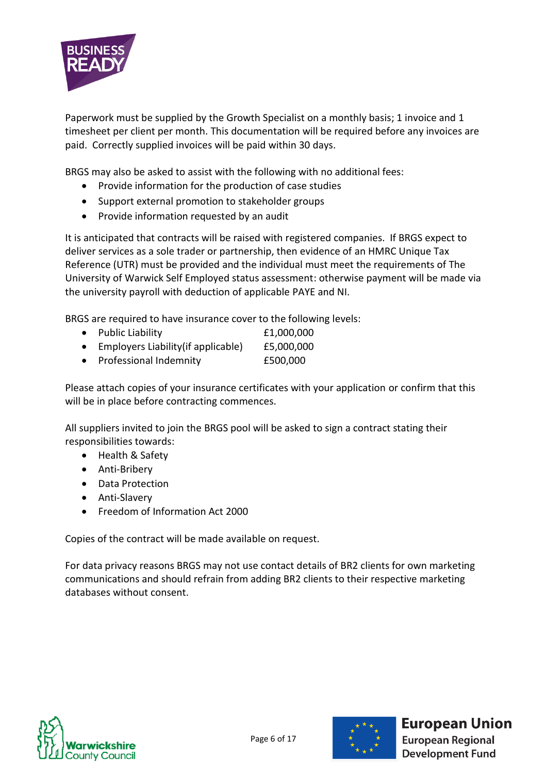

Paperwork must be supplied by the Growth Specialist on a monthly basis; 1 invoice and 1 timesheet per client per month. This documentation will be required before any invoices are paid. Correctly supplied invoices will be paid within 30 days.

BRGS may also be asked to assist with the following with no additional fees:

- Provide information for the production of case studies
- Support external promotion to stakeholder groups
- Provide information requested by an audit

It is anticipated that contracts will be raised with registered companies. If BRGS expect to deliver services as a sole trader or partnership, then evidence of an HMRC Unique Tax Reference (UTR) must be provided and the individual must meet the requirements of The University of Warwick Self Employed status assessment: otherwise payment will be made via the university payroll with deduction of applicable PAYE and NI.

BRGS are required to have insurance cover to the following levels:

- Public Liability £1,000,000
- Employers Liability (if applicable) £5,000,000
- Professional Indemnity £500,000

Please attach copies of your insurance certificates with your application or confirm that this will be in place before contracting commences.

All suppliers invited to join the BRGS pool will be asked to sign a contract stating their responsibilities towards:

- Health & Safety
- Anti-Bribery
- Data Protection
- Anti-Slavery
- Freedom of Information Act 2000

Copies of the contract will be made available on request.

<span id="page-5-0"></span>For data privacy reasons BRGS may not use contact details of BR2 clients for own marketing communications and should refrain from adding BR2 clients to their respective marketing databases without consent.





**European Union**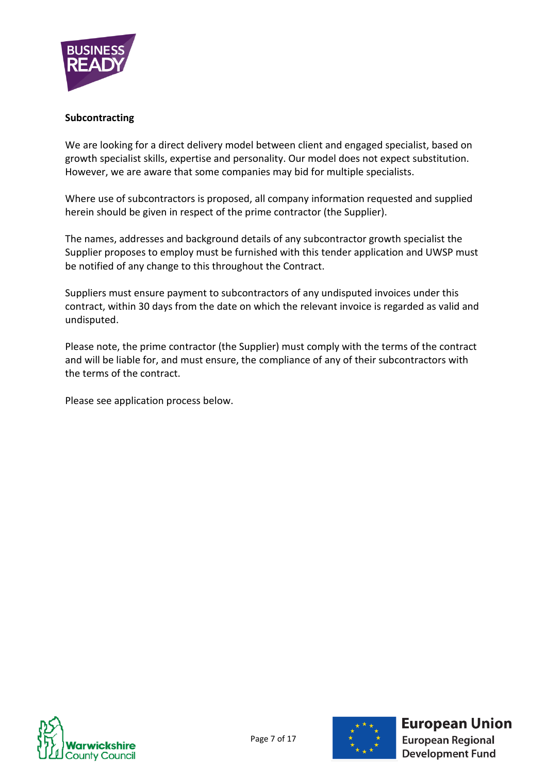

#### **Subcontracting**

We are looking for a direct delivery model between client and engaged specialist, based on growth specialist skills, expertise and personality. Our model does not expect substitution. However, we are aware that some companies may bid for multiple specialists.

Where use of subcontractors is proposed, all company information requested and supplied herein should be given in respect of the prime contractor (the Supplier).

The names, addresses and background details of any subcontractor growth specialist the Supplier proposes to employ must be furnished with this tender application and UWSP must be notified of any change to this throughout the Contract.

Suppliers must ensure payment to subcontractors of any undisputed invoices under this contract, within 30 days from the date on which the relevant invoice is regarded as valid and undisputed.

Please note, the prime contractor (the Supplier) must comply with the terms of the contract and will be liable for, and must ensure, the compliance of any of their subcontractors with the terms of the contract.

Please see application process below.





# **European Union**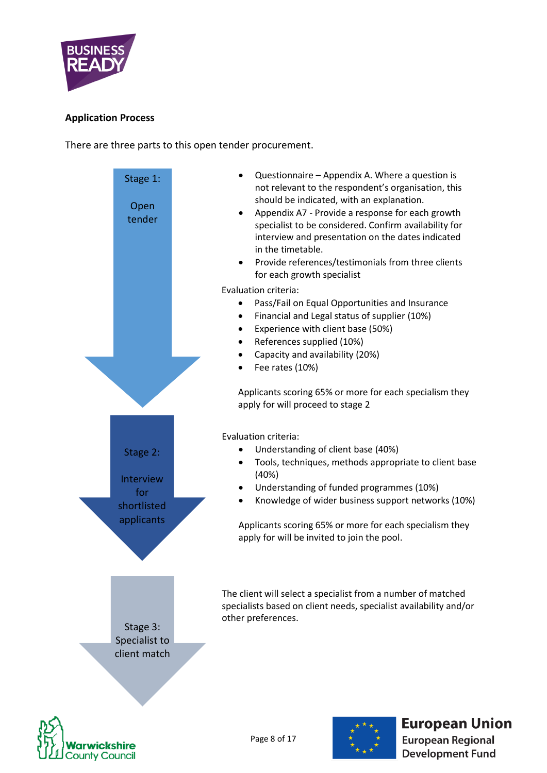

### <span id="page-7-0"></span>**Application Process**

There are three parts to this open tender procurement.







# **European Union**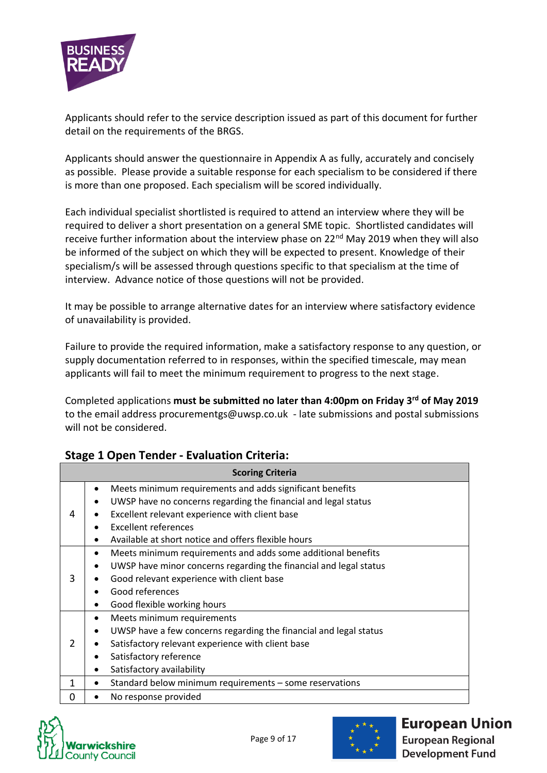

Applicants should refer to the service description issued as part of this document for further detail on the requirements of the BRGS.

Applicants should answer the questionnaire in Appendix A as fully, accurately and concisely as possible. Please provide a suitable response for each specialism to be considered if there is more than one proposed. Each specialism will be scored individually.

Each individual specialist shortlisted is required to attend an interview where they will be required to deliver a short presentation on a general SME topic. Shortlisted candidates will receive further information about the interview phase on  $22<sup>nd</sup>$  May 2019 when they will also be informed of the subject on which they will be expected to present. Knowledge of their specialism/s will be assessed through questions specific to that specialism at the time of interview. Advance notice of those questions will not be provided.

It may be possible to arrange alternative dates for an interview where satisfactory evidence of unavailability is provided.

Failure to provide the required information, make a satisfactory response to any question, or supply documentation referred to in responses, within the specified timescale, may mean applicants will fail to meet the minimum requirement to progress to the next stage.

Completed applications **must be submitted no later than 4:00pm on Friday 3 rd of May 2019** to the email address [procurementgs@uwsp.co.uk](mailto:procurementgs@uwsp.co.uk) - late submissions and postal submissions will not be considered.

| <b>Scoring Criteria</b> |                                                                                                                                                                                                                                                                              |  |  |  |
|-------------------------|------------------------------------------------------------------------------------------------------------------------------------------------------------------------------------------------------------------------------------------------------------------------------|--|--|--|
| 4                       | Meets minimum requirements and adds significant benefits<br>٠<br>UWSP have no concerns regarding the financial and legal status<br>٠<br>Excellent relevant experience with client base<br><b>Excellent references</b><br>Available at short notice and offers flexible hours |  |  |  |
| 3                       | Meets minimum requirements and adds some additional benefits<br>٠<br>UWSP have minor concerns regarding the financial and legal status<br>$\bullet$<br>Good relevant experience with client base<br>Good references<br>Good flexible working hours<br>٠                      |  |  |  |
| $\mathcal{P}$           | Meets minimum requirements<br>٠<br>UWSP have a few concerns regarding the financial and legal status<br>٠<br>Satisfactory relevant experience with client base<br>٠<br>Satisfactory reference<br>Satisfactory availability<br>٠                                              |  |  |  |
| 1                       | Standard below minimum requirements - some reservations<br>٠                                                                                                                                                                                                                 |  |  |  |
| 0                       | No response provided                                                                                                                                                                                                                                                         |  |  |  |

## **Stage 1 Open Tender - Evaluation Criteria:**





# **European Union**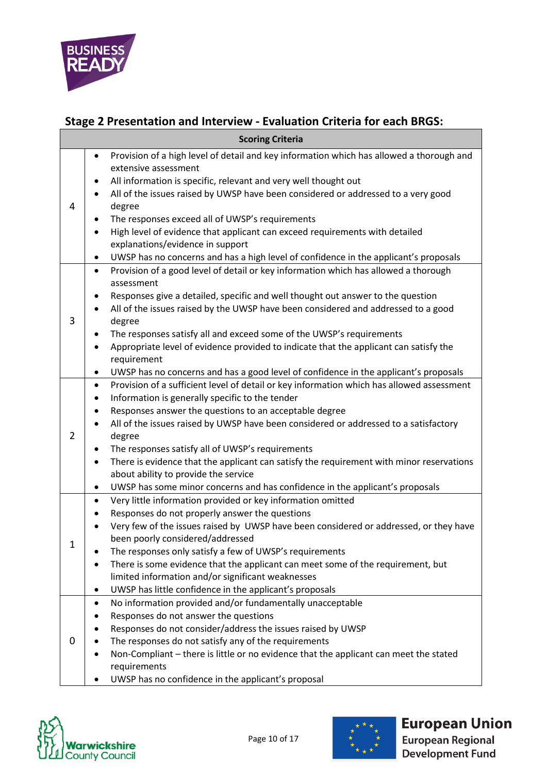

# **Stage 2 Presentation and Interview - Evaluation Criteria for each BRGS:**

| <b>Scoring Criteria</b> |                                                                                                                                                                                                                                                                                                                                                                                                                                                                                                                                                                                                                                                        |  |  |  |
|-------------------------|--------------------------------------------------------------------------------------------------------------------------------------------------------------------------------------------------------------------------------------------------------------------------------------------------------------------------------------------------------------------------------------------------------------------------------------------------------------------------------------------------------------------------------------------------------------------------------------------------------------------------------------------------------|--|--|--|
| 4                       | Provision of a high level of detail and key information which has allowed a thorough and<br>$\bullet$<br>extensive assessment<br>All information is specific, relevant and very well thought out<br>٠<br>All of the issues raised by UWSP have been considered or addressed to a very good<br>degree<br>The responses exceed all of UWSP's requirements<br>$\bullet$<br>High level of evidence that applicant can exceed requirements with detailed<br>$\bullet$<br>explanations/evidence in support                                                                                                                                                   |  |  |  |
|                         | UWSP has no concerns and has a high level of confidence in the applicant's proposals<br>$\bullet$                                                                                                                                                                                                                                                                                                                                                                                                                                                                                                                                                      |  |  |  |
| 3                       | Provision of a good level of detail or key information which has allowed a thorough<br>$\bullet$<br>assessment<br>Responses give a detailed, specific and well thought out answer to the question<br>٠<br>All of the issues raised by the UWSP have been considered and addressed to a good<br>$\bullet$<br>degree<br>The responses satisfy all and exceed some of the UWSP's requirements<br>٠<br>Appropriate level of evidence provided to indicate that the applicant can satisfy the<br>requirement<br>UWSP has no concerns and has a good level of confidence in the applicant's proposals<br>$\bullet$                                           |  |  |  |
| $\overline{2}$          | Provision of a sufficient level of detail or key information which has allowed assessment<br>$\bullet$<br>Information is generally specific to the tender<br>٠<br>Responses answer the questions to an acceptable degree<br>$\bullet$<br>All of the issues raised by UWSP have been considered or addressed to a satisfactory<br>degree<br>The responses satisfy all of UWSP's requirements<br>$\bullet$<br>There is evidence that the applicant can satisfy the requirement with minor reservations<br>$\bullet$<br>about ability to provide the service<br>UWSP has some minor concerns and has confidence in the applicant's proposals<br>$\bullet$ |  |  |  |
| 1                       | Very little information provided or key information omitted<br>$\bullet$<br>Responses do not properly answer the questions<br>Very few of the issues raised by UWSP have been considered or addressed, or they have<br>been poorly considered/addressed<br>The responses only satisfy a few of UWSP's requirements<br>There is some evidence that the applicant can meet some of the requirement, but<br>limited information and/or significant weaknesses<br>UWSP has little confidence in the applicant's proposals<br>٠                                                                                                                             |  |  |  |
| 0                       | No information provided and/or fundamentally unacceptable<br>٠<br>Responses do not answer the questions<br>Responses do not consider/address the issues raised by UWSP<br>The responses do not satisfy any of the requirements<br>Non-Compliant - there is little or no evidence that the applicant can meet the stated<br>requirements<br>UWSP has no confidence in the applicant's proposal                                                                                                                                                                                                                                                          |  |  |  |

<span id="page-9-0"></span>



# **European Union**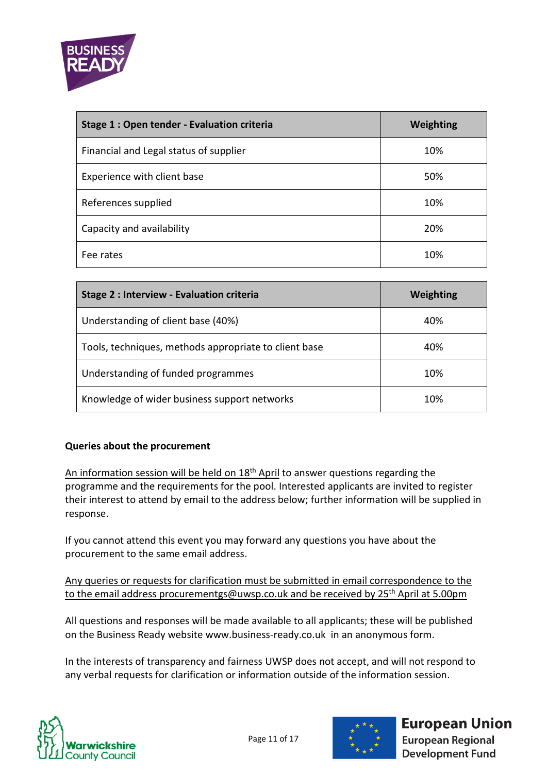

| Stage 1 : Open tender - Evaluation criteria | Weighting |
|---------------------------------------------|-----------|
| Financial and Legal status of supplier      | 10%       |
| Experience with client base                 | 50%       |
| References supplied                         | 10%       |
| Capacity and availability                   | 20%       |
| Fee rates                                   | 10%       |

| Stage 2 : Interview - Evaluation criteria             | Weighting |
|-------------------------------------------------------|-----------|
| Understanding of client base (40%)                    | 40%       |
| Tools, techniques, methods appropriate to client base | 40%       |
| Understanding of funded programmes                    | 10%       |
| Knowledge of wider business support networks          | 10%       |

### **Queries about the procurement**

An information session will be held on 18<sup>th</sup> April to answer questions regarding the programme and the requirements for the pool. Interested applicants are invited to register their interest to attend by email to the address below; further information will be supplied in response.

If you cannot attend this event you may forward any questions you have about the procurement to the same email address.

Any queries or requests for clarification must be submitted in email correspondence to the to the email address [procurementgs@uwsp.co.uk](mailto:procurementgs@uwsp.co.uk) and be received by 25<sup>th</sup> April at 5.00pm

All questions and responses will be made available to all applicants; these will be published on the Business Ready website [www.business-ready.co.uk](http://www.business-ready.co.uk/) in an anonymous form.

In the interests of transparency and fairness UWSP does not accept, and will not respond to any verbal requests for clarification or information outside of the information session.





# **European Union**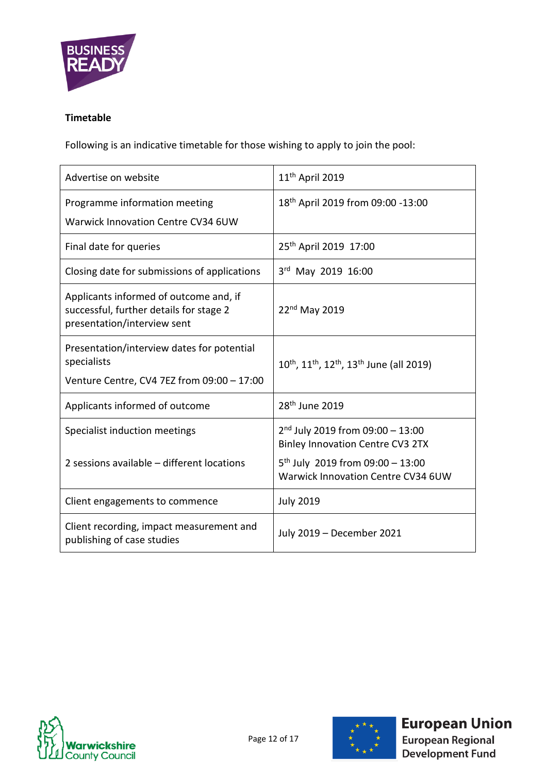

### <span id="page-11-0"></span>**Timetable**

Following is an indicative timetable for those wishing to apply to join the pool:

| Advertise on website                                                                                             | 11 <sup>th</sup> April 2019                                                                                                                                  |
|------------------------------------------------------------------------------------------------------------------|--------------------------------------------------------------------------------------------------------------------------------------------------------------|
| Programme information meeting                                                                                    | 18th April 2019 from 09:00 -13:00                                                                                                                            |
| <b>Warwick Innovation Centre CV34 6UW</b>                                                                        |                                                                                                                                                              |
| Final date for queries                                                                                           | 25 <sup>th</sup> April 2019 17:00                                                                                                                            |
| Closing date for submissions of applications                                                                     | 3rd May 2019 16:00                                                                                                                                           |
| Applicants informed of outcome and, if<br>successful, further details for stage 2<br>presentation/interview sent | $22nd$ May 2019                                                                                                                                              |
| Presentation/interview dates for potential<br>specialists<br>Venture Centre, CV4 7EZ from 09:00 - 17:00          | 10 <sup>th</sup> , 11 <sup>th</sup> , 12 <sup>th</sup> , 13 <sup>th</sup> June (all 2019)                                                                    |
|                                                                                                                  |                                                                                                                                                              |
| Applicants informed of outcome                                                                                   | 28 <sup>th</sup> June 2019                                                                                                                                   |
| Specialist induction meetings<br>2 sessions available - different locations                                      | $2nd$ July 2019 from 09:00 - 13:00<br><b>Binley Innovation Centre CV3 2TX</b><br>$5^{th}$ July 2019 from 09:00 - 13:00<br>Warwick Innovation Centre CV34 6UW |
| Client engagements to commence                                                                                   | <b>July 2019</b>                                                                                                                                             |
| Client recording, impact measurement and<br>publishing of case studies                                           | July 2019 - December 2021                                                                                                                                    |

Page 12 of 17





**European Union European Regional**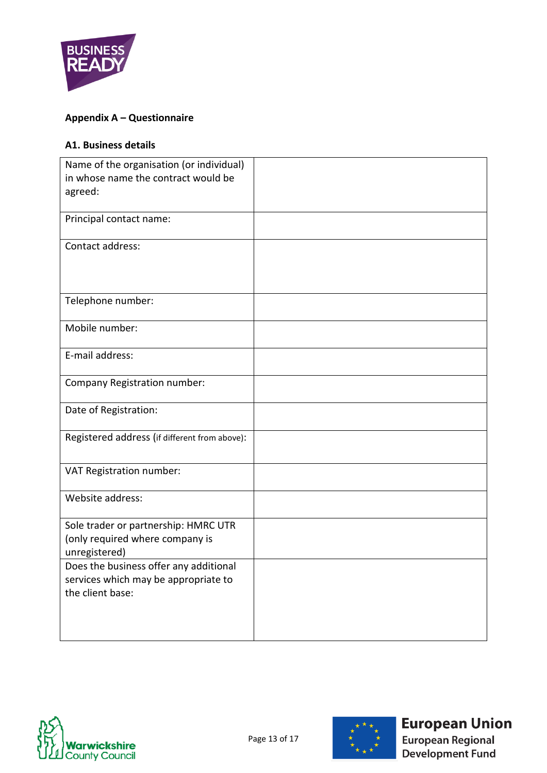

# <span id="page-12-0"></span>**Appendix A – Questionnaire**

## <span id="page-12-1"></span>**A1. Business details**

| Name of the organisation (or individual)<br>in whose name the contract would be<br>agreed:         |  |
|----------------------------------------------------------------------------------------------------|--|
| Principal contact name:                                                                            |  |
| Contact address:                                                                                   |  |
| Telephone number:                                                                                  |  |
| Mobile number:                                                                                     |  |
| E-mail address:                                                                                    |  |
| Company Registration number:                                                                       |  |
| Date of Registration:                                                                              |  |
| Registered address (if different from above):                                                      |  |
| VAT Registration number:                                                                           |  |
| Website address:                                                                                   |  |
| Sole trader or partnership: HMRC UTR<br>(only required where company is<br>unregistered)           |  |
| Does the business offer any additional<br>services which may be appropriate to<br>the client base: |  |
|                                                                                                    |  |





# **European Union**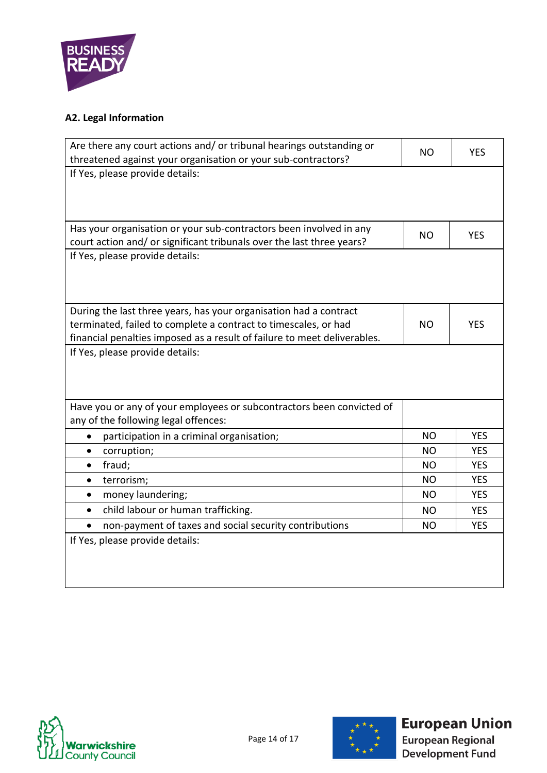

# <span id="page-13-0"></span>**A2. Legal Information**

| Are there any court actions and/ or tribunal hearings outstanding or<br>threatened against your organisation or your sub-contractors?       | NO.       | <b>YES</b> |  |  |
|---------------------------------------------------------------------------------------------------------------------------------------------|-----------|------------|--|--|
| If Yes, please provide details:                                                                                                             |           |            |  |  |
|                                                                                                                                             |           |            |  |  |
|                                                                                                                                             |           |            |  |  |
| Has your organisation or your sub-contractors been involved in any<br>court action and/ or significant tribunals over the last three years? | <b>NO</b> | <b>YES</b> |  |  |
| If Yes, please provide details:                                                                                                             |           |            |  |  |
|                                                                                                                                             |           |            |  |  |
|                                                                                                                                             |           |            |  |  |
| During the last three years, has your organisation had a contract                                                                           |           |            |  |  |
| terminated, failed to complete a contract to timescales, or had                                                                             | <b>NO</b> | <b>YES</b> |  |  |
| financial penalties imposed as a result of failure to meet deliverables.                                                                    |           |            |  |  |
| If Yes, please provide details:                                                                                                             |           |            |  |  |
|                                                                                                                                             |           |            |  |  |
|                                                                                                                                             |           |            |  |  |
| Have you or any of your employees or subcontractors been convicted of                                                                       |           |            |  |  |
| any of the following legal offences:                                                                                                        |           |            |  |  |
| <b>YES</b><br><b>NO</b><br>participation in a criminal organisation;<br>$\bullet$                                                           |           |            |  |  |
| corruption;<br>$\bullet$                                                                                                                    | <b>NO</b> | <b>YES</b> |  |  |
| fraud;<br>$\bullet$                                                                                                                         | <b>NO</b> | <b>YES</b> |  |  |
| terrorism;<br>$\bullet$                                                                                                                     | <b>NO</b> | <b>YES</b> |  |  |
| money laundering;<br>$\bullet$                                                                                                              | <b>NO</b> | <b>YES</b> |  |  |
| child labour or human trafficking.<br>$\bullet$                                                                                             | <b>NO</b> | <b>YES</b> |  |  |
| non-payment of taxes and social security contributions<br>$\bullet$                                                                         | <b>NO</b> | <b>YES</b> |  |  |
| If Yes, please provide details:                                                                                                             |           |            |  |  |
|                                                                                                                                             |           |            |  |  |
|                                                                                                                                             |           |            |  |  |
|                                                                                                                                             |           |            |  |  |

<span id="page-13-1"></span>



# **European Union**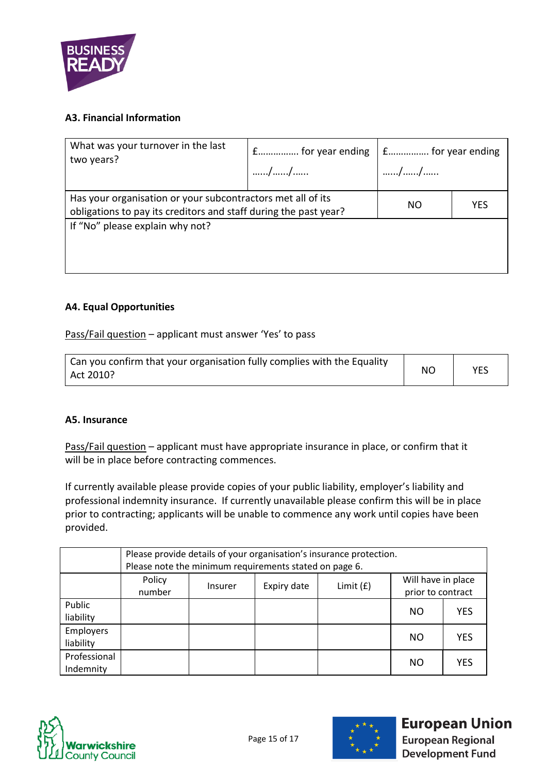

### **A3. Financial Information**

| What was your turnover in the last<br>two years?                                                                                       | $f$ for year ending $\vert f$ f for year ending<br>// | // |  |
|----------------------------------------------------------------------------------------------------------------------------------------|-------------------------------------------------------|----|--|
| Has your organisation or your subcontractors met all of its<br>NO.<br>obligations to pay its creditors and staff during the past year? |                                                       |    |  |
| If "No" please explain why not?                                                                                                        |                                                       |    |  |

### <span id="page-14-0"></span>**A4. Equal Opportunities**

Pass/Fail question – applicant must answer 'Yes' to pass

| Can you confirm that your organisation fully complies with the Equality |           |     |
|-------------------------------------------------------------------------|-----------|-----|
| Act 2010?                                                               | <b>NO</b> | YES |

### <span id="page-14-1"></span>**A5. Insurance**

Pass/Fail question – applicant must have appropriate insurance in place, or confirm that it will be in place before contracting commences.

If currently available please provide copies of your public liability, employer's liability and professional indemnity insurance. If currently unavailable please confirm this will be in place prior to contracting; applicants will be unable to commence any work until copies have been provided.

|              | Please provide details of your organisation's insurance protection. |                |             |                    |                   |            |
|--------------|---------------------------------------------------------------------|----------------|-------------|--------------------|-------------------|------------|
|              | Please note the minimum requirements stated on page 6.              |                |             |                    |                   |            |
| Policy       |                                                                     |                |             | Will have in place |                   |            |
|              | number                                                              | <b>Insurer</b> | Expiry date | Limit $(f)$        | prior to contract |            |
| Public       |                                                                     |                |             |                    |                   |            |
| liability    |                                                                     |                |             |                    | NO                | <b>YES</b> |
| Employers    |                                                                     |                |             |                    |                   |            |
| liability    |                                                                     |                |             |                    | NO                | <b>YES</b> |
| Professional |                                                                     |                |             |                    |                   | <b>YES</b> |
| Indemnity    |                                                                     |                |             |                    | NO                |            |

<span id="page-14-2"></span>



# **European Union**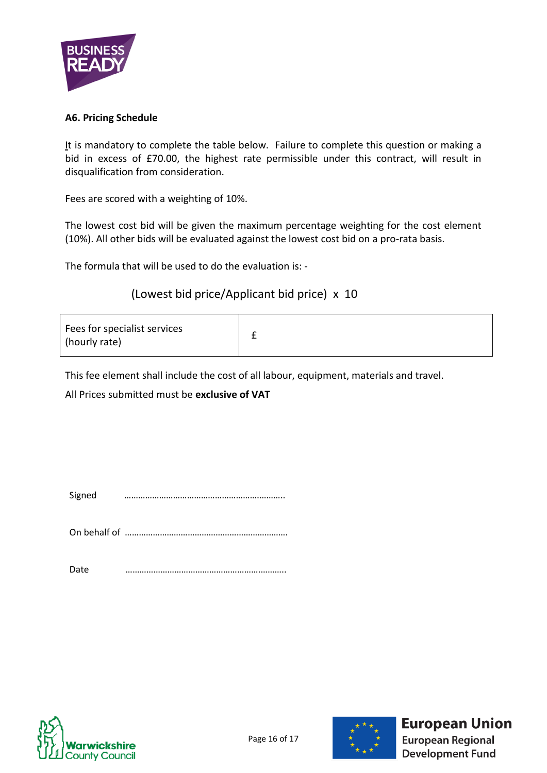

### **A6. Pricing Schedule**

It is mandatory to complete the table below. Failure to complete this question or making a bid in excess of £70.00, the highest rate permissible under this contract, will result in disqualification from consideration.

Fees are scored with a weighting of 10%.

The lowest cost bid will be given the maximum percentage weighting for the cost element (10%). All other bids will be evaluated against the lowest cost bid on a pro-rata basis.

The formula that will be used to do the evaluation is: -

## (Lowest bid price/Applicant bid price) x 10

| Fees for specialist services<br>(hourly rate) |  |
|-----------------------------------------------|--|
|-----------------------------------------------|--|

This fee element shall include the cost of all labour, equipment, materials and travel.

All Prices submitted must be **exclusive of VAT**

Signed ………………………………………………….………..

On behalf of …………………………………………………………….

Date ………………………………………………….………..





# **European Union**